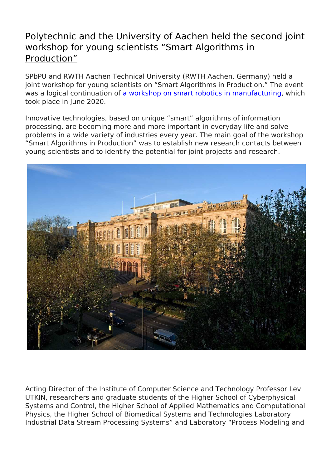## [Polytechnic and the University of Aachen held the second joint](http://english.spbstu.ru/media/news/international_activities/polytech-university-aachen-vorkshop-smart-algorithms-production/) [workshop for young scientists "Smart Algorithms in](http://english.spbstu.ru/media/news/international_activities/polytech-university-aachen-vorkshop-smart-algorithms-production/) [Production"](http://english.spbstu.ru/media/news/international_activities/polytech-university-aachen-vorkshop-smart-algorithms-production/)

SPbPU and RWTH Aachen Technical University (RWTH Aachen, Germany) held a joint workshop for young scientists on "Smart Algorithms in Production." The event was a logical continuation of [a workshop on smart robotics in manufacturing](https://www.spbstu.ru/media/news/international_activities/polytech-university-aachen-joint-workshop-scientists/), which took place in June 2020.

Innovative technologies, based on unique "smart" algorithms of information processing, are becoming more and more important in everyday life and solve problems in a wide variety of industries every year. The main goal of the workshop "Smart Algorithms in Production" was to establish new research contacts between young scientists and to identify the potential for joint projects and research.



Acting Director of the Institute of Computer Science and Technology Professor Lev UTKIN, researchers and graduate students of the Higher School of Cyberphysical Systems and Control, the Higher School of Applied Mathematics and Computational Physics, the Higher School of Biomedical Systems and Technologies Laboratory Industrial Data Stream Processing Systems" and Laboratory "Process Modeling and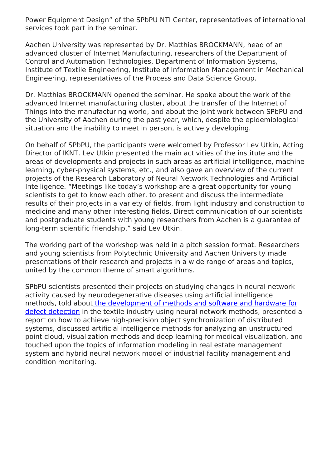Power Equipment Design" of the SPbPU NTI Center, representatives of international services took part in the seminar.

Aachen University was represented by Dr. Matthias BROCKMANN, head of an advanced cluster of Internet Manufacturing, researchers of the Department of Control and Automation Technologies, Department of Information Systems, Institute of Textile Engineering, Institute of Information Management in Mechanical Engineering, representatives of the Process and Data Science Group.

Dr. Matthias BROCKMANN opened the seminar. He spoke about the work of the advanced Internet manufacturing cluster, about the transfer of the Internet of Things into the manufacturing world, and about the joint work between SPbPU and the University of Aachen during the past year, which, despite the epidemiological situation and the inability to meet in person, is actively developing.

On behalf of SPbPU, the participants were welcomed by Professor Lev Utkin, Acting Director of IKNT. Lev Utkin presented the main activities of the institute and the areas of developments and projects in such areas as artificial intelligence, machine learning, cyber-physical systems, etc., and also gave an overview of the current projects of the Research Laboratory of Neural Network Technologies and Artificial Intelligence. "Meetings like today's workshop are a great opportunity for young scientists to get to know each other, to present and discuss the intermediate results of their projects in a variety of fields, from light industry and construction to medicine and many other interesting fields. Direct communication of our scientists and postgraduate students with young researchers from Aachen is a guarantee of long-term scientific friendship," said Lev Utkin.

The working part of the workshop was held in a pitch session format. Researchers and young scientists from Polytechnic University and Aachen University made presentations of their research and projects in a wide range of areas and topics, united by the common theme of smart algorithms.

SPbPU scientists presented their projects on studying changes in neural network activity caused by neurodegenerative diseases using artificial intelligence methods, told abou[t the development of methods and software and hardware for](https://spbpu.com/novosti/komanda-ekspertov-iz-spbpu-i-ivgpu-provedet-fundamentalnye-issledovaniya-po-razrabotke-nejrosetej-dlya-obnaruzheniya-defektov-v-promyshlennosti/) [defect detection](https://spbpu.com/novosti/komanda-ekspertov-iz-spbpu-i-ivgpu-provedet-fundamentalnye-issledovaniya-po-razrabotke-nejrosetej-dlya-obnaruzheniya-defektov-v-promyshlennosti/) in the textile industry using neural network methods, presented a report on how to achieve high-precision object synchronization of distributed systems, discussed artificial intelligence methods for analyzing an unstructured point cloud, visualization methods and deep learning for medical visualization, and touched upon the topics of information modeling in real estate management system and hybrid neural network model of industrial facility management and condition monitoring.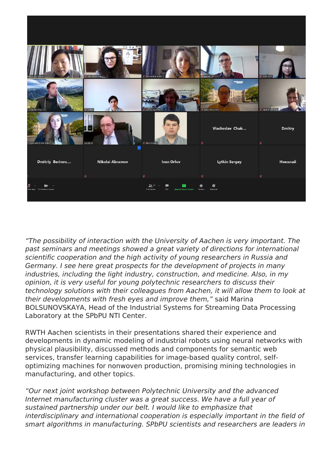

*"The possibility of interaction with the University of Aachen is very important. The past seminars and meetings showed a great variety of directions for international scientific cooperation and the high activity of young researchers in Russia and Germany. I see here great prospects for the development of projects in many industries, including the light industry, construction, and medicine. Also, in my opinion, it is very useful for young polytechnic researchers to discuss their technology solutions with their colleagues from Aachen, it will allow them to look at their developments with fresh eyes and improve them,"* said Marina BOLSUNOVSKAYA, Head of the Industrial Systems for Streaming Data Processing Laboratory at the SPbPU NTI Center.

RWTH Aachen scientists in their presentations shared their experience and developments in dynamic modeling of industrial robots using neural networks with physical plausibility, discussed methods and components for semantic web services, transfer learning capabilities for image-based quality control, selfoptimizing machines for nonwoven production, promising mining technologies in manufacturing, and other topics.

*"Our next joint workshop between Polytechnic University and the advanced Internet manufacturing cluster was a great success. We have a full year of sustained partnership under our belt. I would like to emphasize that interdisciplinary and international cooperation is especially important in the field of smart algorithms in manufacturing. SPbPU scientists and researchers are leaders in*